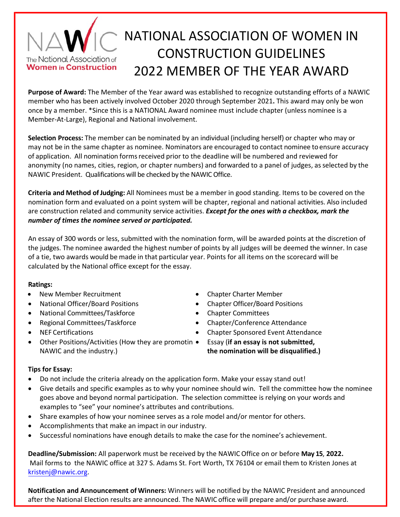## NATIONAL ASSOCIATION OF WOMEN IN CONSTRUCTION GUIDELINES The National Association of **Women in Construction** 2022 MEMBER OF THE YEAR AWARD

**Purpose of Award:** The Member of the Year award was established to recognize outstanding efforts of a NAWIC member who has been actively involved October 2020 through September 2021**.** This award may only be won once by a member. \*Since this is a NATIONAL Award nominee must include chapter (unless nominee is a Member‐At‐Large), Regional and National involvement.

**Selection Process:** The member can be nominated by an individual (including herself) or chapter who may or may not be in the same chapter as nominee. Nominators are encouraged to contact nominee toensure accuracy of application. All nomination formsreceived prior to the deadline will be numbered and reviewed for anonymity (no names, cities, region, or chapter numbers) and forwarded to a panel of judges, as selected by the NAWIC President. Qualifications will be checked by the NAWIC Office.

**Criteria and Method ofJudging:** All Nominees must be a member in good standing. Items to be covered on the nomination form and evaluated on a point system will be chapter, regional and national activities. Also included are construction related and community service activities. *Except for the ones with a checkbox, mark the number of times the nominee served or participated.* 

An essay of 300 words or less, submitted with the nomination form, will be awarded points at the discretion of the judges. The nominee awarded the highest number of points by all judges will be deemed the winner. In case of a tie, two awards would be made in that particular year. Points for all items on the scorecard will be calculated by the National office except for the essay.

## **Ratings:**

- New Member Recruitment **Chapter Charter Member Chapter Charter Member**
- 
- National Committees/Taskforce Chapter Committees
- 
- 
- Other Positions/Activities (How they are promotin NAWIC and the industry.)
- 
- National Officer/Board Positions Chapter Officer/Board Positions
	-
- Regional Committees/Taskforce Chapter/Conference Attendance
	- NEF Certifications Chapter Sponsored Event Attendance

Essay (**if an essay is not submitted,**

**the nomination will be disqualified.)**

## **Tips for Essay:**

- Do not include the criteria already on the application form. Make your essay stand out!
- Give details and specific examples as to why your nominee should win. Tell the committee how the nominee goes above and beyond normal participation. The selection committee is relying on your words and examples to "see" your nominee's attributes and contributions.
- Share examples of how your nominee serves as a role model and/or mentor for others.
- Accomplishments that make an impact in our industry.
- Successful nominations have enough details to make the case for the nominee's achievement.

**Deadline/Submission:** All paperwork must be received by the NAWIC Office on or before **May 15**, **2022.** Mail forms to the NAWIC office at 327 S. Adams St. Fort Worth, TX 76104 or email them to Kristen Jones at kristenj@nawic.org.

**Notification and Announcement of Winners:** Winners will be notified by the NAWIC President and announced after the National Election results are announced. The NAWIC office will prepare and/or purchase award.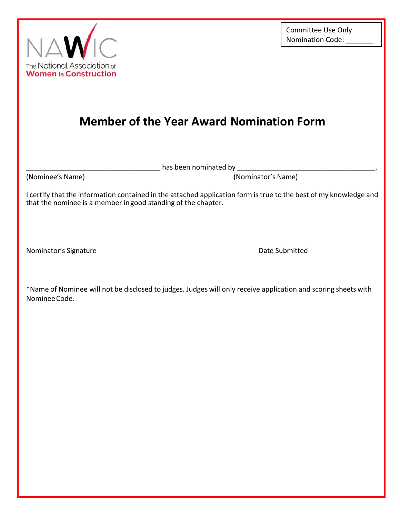

## **Member of the Year Award Nomination Form**

has been nominated by \_\_\_\_\_\_\_

(Nominee's Name) (Nominator's Name)

I certify that the information contained in the attached application form is true to the best of my knowledge and that the nominee is a member in good standing of the chapter.

Nominator's Signature **Nominator's Signature Date Submitted** 

\*Name of Nominee will not be disclosed to judges. Judges will only receive application and scoring sheets with Nominee Code.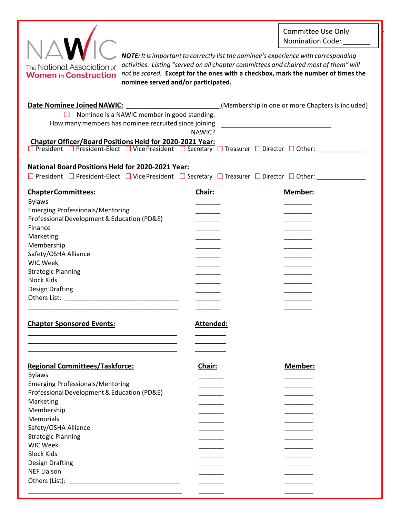Committee Use Only Nomination Code: \_\_\_\_



*NOTE: It is important to correctly list the nominee's experience with corresponding activities. Listing "served on all chapter committees and chaired most of them" will not be scored.* **Except for the ones with a checkbox, mark the number of times the nominee served and/or participated.** 

| <b>Date Nominee Joined NAWIC:</b>                                                                                                                                                                                             |                  | (Membership in one or more Chapters is included) |  |  |
|-------------------------------------------------------------------------------------------------------------------------------------------------------------------------------------------------------------------------------|------------------|--------------------------------------------------|--|--|
| $\Box$ Nominee is a NAWIC member in good standing.                                                                                                                                                                            |                  |                                                  |  |  |
| How many members has nominee recruited since joining ___________________________                                                                                                                                              |                  |                                                  |  |  |
|                                                                                                                                                                                                                               | NAWIC?           |                                                  |  |  |
| Chapter Officer/Board Positions Held for 2020-2021 Year:<br>$\Box$ President $\Box$ President-Elect $\Box$ Vice President $\Box$ Secretary $\Box$ Treasurer $\Box$ Director $\Box$ Other:                                     |                  |                                                  |  |  |
|                                                                                                                                                                                                                               |                  |                                                  |  |  |
|                                                                                                                                                                                                                               |                  |                                                  |  |  |
| <b>National Board Positions Held for 2020-2021 Year:</b>                                                                                                                                                                      |                  |                                                  |  |  |
| □ President □ President-Elect □ Vice President □ Secretary □ Treasurer □ Director □ Other:                                                                                                                                    |                  |                                                  |  |  |
| <b>ChapterCommittees:</b>                                                                                                                                                                                                     | Chair:           | Member:                                          |  |  |
| <b>Bylaws</b>                                                                                                                                                                                                                 |                  |                                                  |  |  |
| <b>Emerging Professionals/Mentoring</b>                                                                                                                                                                                       |                  |                                                  |  |  |
| Professional Development & Education (PD&E)                                                                                                                                                                                   |                  |                                                  |  |  |
| Finance                                                                                                                                                                                                                       |                  |                                                  |  |  |
| Marketing                                                                                                                                                                                                                     |                  |                                                  |  |  |
| Membership                                                                                                                                                                                                                    |                  |                                                  |  |  |
| Safety/OSHA Alliance                                                                                                                                                                                                          |                  |                                                  |  |  |
| <b>WIC Week</b>                                                                                                                                                                                                               |                  |                                                  |  |  |
| <b>Strategic Planning</b>                                                                                                                                                                                                     |                  |                                                  |  |  |
| <b>Block Kids</b>                                                                                                                                                                                                             |                  |                                                  |  |  |
| <b>Design Drafting</b>                                                                                                                                                                                                        |                  |                                                  |  |  |
|                                                                                                                                                                                                                               |                  |                                                  |  |  |
|                                                                                                                                                                                                                               |                  |                                                  |  |  |
| <b>Chapter Sponsored Events:</b>                                                                                                                                                                                              | <u>Attended:</u> |                                                  |  |  |
|                                                                                                                                                                                                                               |                  |                                                  |  |  |
|                                                                                                                                                                                                                               |                  |                                                  |  |  |
| <b>Regional Committees/Taskforce:</b>                                                                                                                                                                                         | Chair:           | Member:                                          |  |  |
| <b>Bylaws</b>                                                                                                                                                                                                                 |                  |                                                  |  |  |
| <b>Emerging Professionals/Mentoring</b>                                                                                                                                                                                       |                  |                                                  |  |  |
| Professional Development & Education (PD&E)                                                                                                                                                                                   |                  |                                                  |  |  |
| Marketing                                                                                                                                                                                                                     |                  |                                                  |  |  |
| Membership                                                                                                                                                                                                                    |                  |                                                  |  |  |
| Memorials                                                                                                                                                                                                                     |                  |                                                  |  |  |
| Safety/OSHA Alliance                                                                                                                                                                                                          |                  |                                                  |  |  |
| <b>Strategic Planning</b>                                                                                                                                                                                                     |                  |                                                  |  |  |
| <b>WIC Week</b>                                                                                                                                                                                                               |                  |                                                  |  |  |
| <b>Block Kids</b>                                                                                                                                                                                                             |                  |                                                  |  |  |
| Design Drafting                                                                                                                                                                                                               |                  |                                                  |  |  |
| <b>NEF Liaison</b>                                                                                                                                                                                                            |                  |                                                  |  |  |
| Others (List): Note and the set of the set of the set of the set of the set of the set of the set of the set of the set of the set of the set of the set of the set of the set of the set of the set of the set of the set of |                  |                                                  |  |  |
|                                                                                                                                                                                                                               |                  |                                                  |  |  |